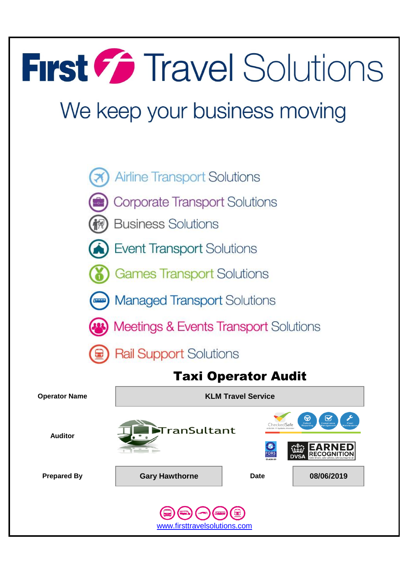# First Collections

## We keep your business moving





**Business Solutions** 



- **Event Transport Solutions**
- **Games Transport Solutions**





**Meetings & Events Transport Solutions** 

**Rail Support Solutions** 

## Taxi Operator Audit

**Operator Name KLM Travel Service Thecked Safe** TranSultant **Auditor EARNED RECOGNITION Prepared By Cary Hawthorne Date Date 08/06/2019** www.firsttravelsolutions.com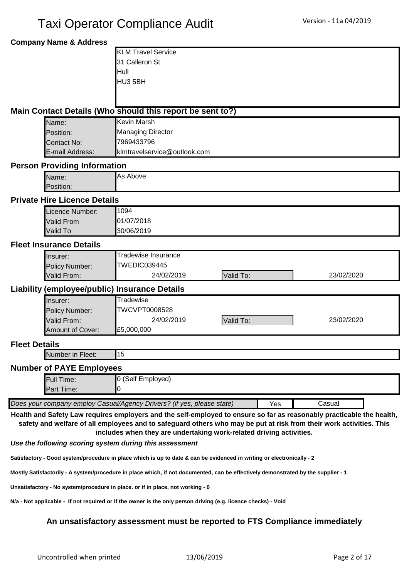#### **Company Name & Address**

| <b>KLM Travel Service</b> |  |
|---------------------------|--|
| 31 Calleron St            |  |
| <b>Hull</b>               |  |
| HU3 5BH                   |  |
|                           |  |

#### **Main Contact Details (Who should this report be sent to?)**

| Name:           | Kevin Marsh                  |
|-----------------|------------------------------|
| Position:       | Managing Director            |
| Contact No:     | 7969433796                   |
| E-mail Address: | klmtravelservice@outlook.com |

#### **Person Providing Information**

| Name:     | ∥As Above |
|-----------|-----------|
| Position: |           |
| ___       |           |

#### **Private Hire Licence Details**

| Licence Number: | 1094       |
|-----------------|------------|
| Valid From      | 01/07/2018 |
| <b>Valid To</b> | 30/06/2019 |

#### **Fleet Insurance Details**

| llnsurer:             | fradewise Insurance |                  |            |  |  |
|-----------------------|---------------------|------------------|------------|--|--|
| <b>Policy Number:</b> | TWEDIC039445        |                  |            |  |  |
| Valid From:           | 24/02/2019          | <b>Valid To:</b> | 23/02/2020 |  |  |

#### **Liability (employee/public) Insurance Details**

| llnsurer:             | ⊺radewise     |           |            |  |  |  |
|-----------------------|---------------|-----------|------------|--|--|--|
| <b>Policy Number:</b> | TWCVPT0008528 |           |            |  |  |  |
| Valid From:           | 24/02/2019    | Valid To: | 23/02/2020 |  |  |  |
| Amount of Cover:      | E5,000,000    |           |            |  |  |  |

#### **Fleet Details**

Number in Fleet:

#### **Number of PAYE Employees**

|                                                                                         | <b>Full Time:</b> | <b>0 (Self Employed)</b> |  |  |  |  |  |
|-----------------------------------------------------------------------------------------|-------------------|--------------------------|--|--|--|--|--|
|                                                                                         | <b>Part Time:</b> |                          |  |  |  |  |  |
|                                                                                         |                   |                          |  |  |  |  |  |
| Does your company employ Casual/Agency Drivers? (if yes, please state)<br>Yes<br>Casual |                   |                          |  |  |  |  |  |

**Health and Safety Law requires employers and the self-employed to ensure so far as reasonably practicable the health, safety and welfare of all employees and to safeguard others who may be put at risk from their work activities. This** 

**includes when they are undertaking work-related driving activities.**

#### *Use the following scoring system during this assessment*

15

**Satisfactory - Good system/procedure in place which is up to date & can be evidenced in writing or electronically - 2**

**Mostly Satisfactorily - A system/procedure in place which, if not documented, can be effectively demonstrated by the supplier - 1**

**Unsatisfactory - No system/procedure in place. or if in place, not working - 0**

**N/a - Not applicable - If not required or if the owner is the only person driving (e.g. licence checks) - Void**

#### **An unsatisfactory assessment must be reported to FTS Compliance immediately**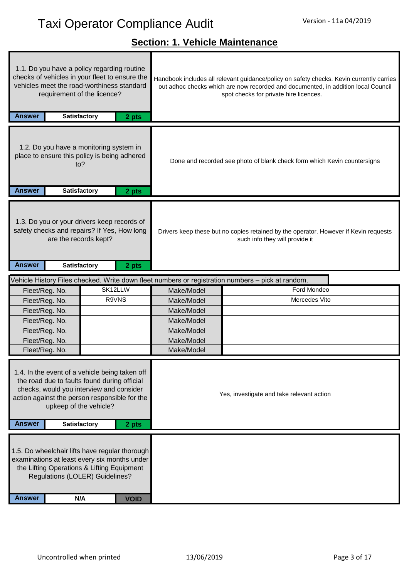## **Section: 1. Vehicle Maintenance**

| <b>Answer</b>                                                                                                                                                                                                         | 1.1. Do you have a policy regarding routine<br>checks of vehicles in your fleet to ensure the<br>vehicles meet the road-worthiness standard<br>requirement of the licence? | <b>Satisfactory</b> | 2 pts                                                                                          |            | Handbook includes all relevant guidance/policy on safety checks. Kevin currently carries<br>out adhoc checks which are now recorded and documented, in addition local Council<br>spot checks for private hire licences. |
|-----------------------------------------------------------------------------------------------------------------------------------------------------------------------------------------------------------------------|----------------------------------------------------------------------------------------------------------------------------------------------------------------------------|---------------------|------------------------------------------------------------------------------------------------|------------|-------------------------------------------------------------------------------------------------------------------------------------------------------------------------------------------------------------------------|
| <b>Answer</b>                                                                                                                                                                                                         | 1.2. Do you have a monitoring system in<br>place to ensure this policy is being adhered<br>to?                                                                             | <b>Satisfactory</b> | 2 pts                                                                                          |            | Done and recorded see photo of blank check form which Kevin countersigns                                                                                                                                                |
| <b>Answer</b>                                                                                                                                                                                                         | 1.3. Do you or your drivers keep records of<br>safety checks and repairs? If Yes, How long<br>are the records kept?                                                        | <b>Satisfactory</b> | 2 pts                                                                                          |            | Drivers keep these but no copies retained by the operator. However if Kevin requests<br>such info they will provide it                                                                                                  |
|                                                                                                                                                                                                                       |                                                                                                                                                                            |                     |                                                                                                |            | Vehicle History Files checked. Write down fleet numbers or registration numbers - pick at random.                                                                                                                       |
| Fleet/Reg. No.                                                                                                                                                                                                        |                                                                                                                                                                            |                     | SK12LLW                                                                                        | Make/Model | Ford Mondeo                                                                                                                                                                                                             |
| Fleet/Reg. No.                                                                                                                                                                                                        |                                                                                                                                                                            |                     | R9VNS                                                                                          | Make/Model | Mercedes Vito                                                                                                                                                                                                           |
| Fleet/Reg. No.                                                                                                                                                                                                        |                                                                                                                                                                            |                     |                                                                                                | Make/Model |                                                                                                                                                                                                                         |
| Fleet/Reg. No.                                                                                                                                                                                                        |                                                                                                                                                                            |                     |                                                                                                | Make/Model |                                                                                                                                                                                                                         |
| Fleet/Reg. No.                                                                                                                                                                                                        |                                                                                                                                                                            |                     |                                                                                                | Make/Model |                                                                                                                                                                                                                         |
| Fleet/Reg. No.                                                                                                                                                                                                        |                                                                                                                                                                            |                     |                                                                                                | Make/Model |                                                                                                                                                                                                                         |
| Fleet/Reg. No.                                                                                                                                                                                                        |                                                                                                                                                                            |                     |                                                                                                | Make/Model |                                                                                                                                                                                                                         |
| 1.4. In the event of a vehicle being taken off<br>the road due to faults found during official<br>checks, would you interview and consider<br>action against the person responsible for the<br>upkeep of the vehicle? |                                                                                                                                                                            |                     | Yes, investigate and take relevant action                                                      |            |                                                                                                                                                                                                                         |
| <b>Answer</b>                                                                                                                                                                                                         |                                                                                                                                                                            | Satisfactory        | 2 pts                                                                                          |            |                                                                                                                                                                                                                         |
|                                                                                                                                                                                                                       | the Lifting Operations & Lifting Equipment<br>Regulations (LOLER) Guidelines?                                                                                              |                     | 1.5. Do wheelchair lifts have regular thorough<br>examinations at least every six months under |            |                                                                                                                                                                                                                         |
| <b>Answer</b>                                                                                                                                                                                                         |                                                                                                                                                                            | N/A                 | <b>VOID</b>                                                                                    |            |                                                                                                                                                                                                                         |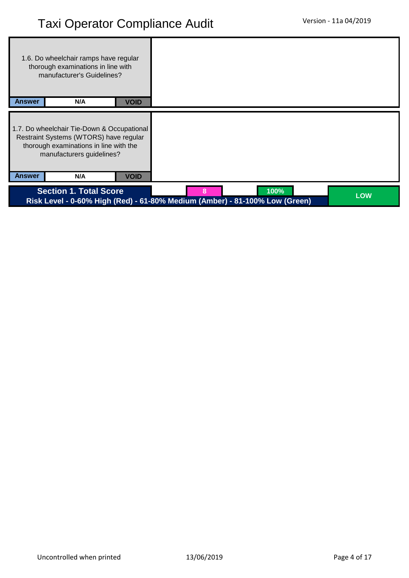|               | 1.6. Do wheelchair ramps have regular<br>thorough examinations in line with<br>manufacturer's Guidelines?                                                   |             |                                                                                          |            |
|---------------|-------------------------------------------------------------------------------------------------------------------------------------------------------------|-------------|------------------------------------------------------------------------------------------|------------|
| <b>Answer</b> | N/A                                                                                                                                                         | <b>VOID</b> |                                                                                          |            |
|               | 1.7. Do wheelchair Tie-Down & Occupational<br>Restraint Systems (WTORS) have regular<br>thorough examinations in line with the<br>manufacturers guidelines? |             |                                                                                          |            |
| <b>Answer</b> | N/A                                                                                                                                                         | <b>VOID</b> |                                                                                          |            |
|               | <b>Section 1. Total Score</b>                                                                                                                               |             | 100%<br>8<br>Risk Level - 0-60% High (Red) - 61-80% Medium (Amber) - 81-100% Low (Green) | <b>LOW</b> |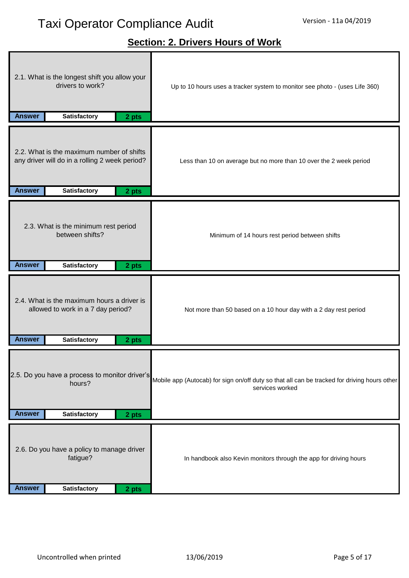## **Section: 2. Drivers Hours of Work**

| drivers to work?<br>Up to 10 hours uses a tracker system to monitor see photo - (uses Life 360)<br><b>Answer</b><br>Satisfactory<br>2 pts                                                                             |  |
|-----------------------------------------------------------------------------------------------------------------------------------------------------------------------------------------------------------------------|--|
| 2.2. What is the maximum number of shifts<br>any driver will do in a rolling 2 week period?<br>Less than 10 on average but no more than 10 over the 2 week period<br><b>Answer</b><br>Satisfactory<br>2 pts           |  |
| 2.3. What is the minimum rest period<br>between shifts?<br>Minimum of 14 hours rest period between shifts<br><b>Answer</b><br>Satisfactory<br>2 pts                                                                   |  |
| 2.4. What is the maximum hours a driver is<br>allowed to work in a 7 day period?<br>Not more than 50 based on a 10 hour day with a 2 day rest period<br>Satisfactory<br><b>Answer</b><br>2 pts                        |  |
| 2.5. Do you have a process to monitor driver's<br>Mobile app (Autocab) for sign on/off duty so that all can be tracked for driving hours other<br>hours?<br>services worked<br><b>Answer</b><br>Satisfactory<br>2 pts |  |
| 2.6. Do you have a policy to manage driver<br>fatigue?<br>In handbook also Kevin monitors through the app for driving hours<br><b>Answer</b><br><b>Satisfactory</b><br>2 pts                                          |  |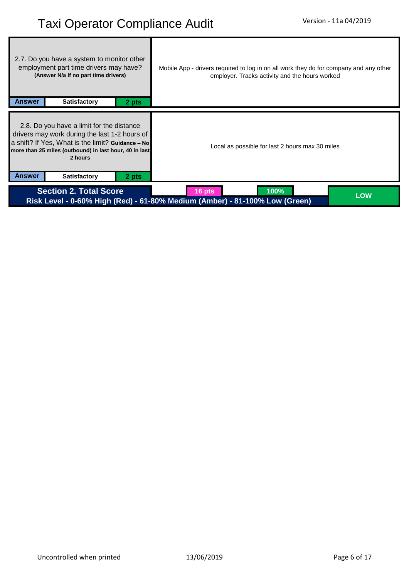| 2.7. Do you have a system to monitor other<br>employment part time drivers may have?<br>(Answer N/a If no part time drivers)                                                                                         | Mobile App - drivers required to log in on all work they do for company and any other<br>employer. Tracks activity and the hours worked |
|----------------------------------------------------------------------------------------------------------------------------------------------------------------------------------------------------------------------|-----------------------------------------------------------------------------------------------------------------------------------------|
| <b>Answer</b><br><b>Satisfactory</b><br>2 pts                                                                                                                                                                        |                                                                                                                                         |
| 2.8. Do you have a limit for the distance<br>drivers may work during the last 1-2 hours of<br>a shift? If Yes, What is the limit? Guidance - No<br>more than 25 miles (outbound) in last hour, 40 in last<br>2 hours | Local as possible for last 2 hours max 30 miles                                                                                         |
| <b>Answer</b><br><b>Satisfactory</b><br>2 pts                                                                                                                                                                        |                                                                                                                                         |
| <b>Section 2. Total Score</b>                                                                                                                                                                                        | 100%<br>16 pts<br><b>LOW</b><br>Risk Level - 0-60% High (Red) - 61-80% Medium (Amber) - 81-100% Low (Green)                             |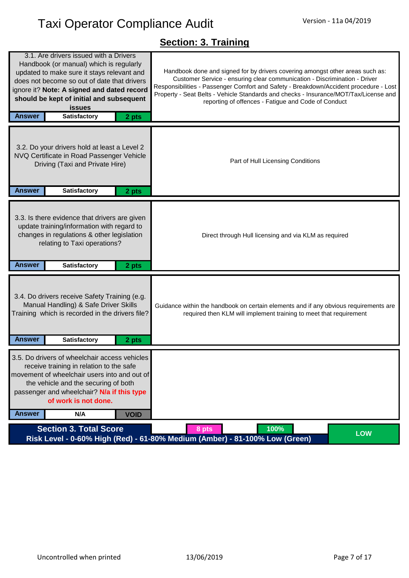## **Section: 3. Training**

| <b>Section 3. Total Score</b>                                                                                                                                                                                                                                                                                                              | 100%<br>8 pts<br>Risk Level - 0-60% High (Red) - 61-80% Medium (Amber) - 81-100% Low (Green)                                                                                                                                                                                                                                                                                                       | <b>LOW</b> |
|--------------------------------------------------------------------------------------------------------------------------------------------------------------------------------------------------------------------------------------------------------------------------------------------------------------------------------------------|----------------------------------------------------------------------------------------------------------------------------------------------------------------------------------------------------------------------------------------------------------------------------------------------------------------------------------------------------------------------------------------------------|------------|
| 3.5. Do drivers of wheelchair access vehicles<br>receive training in relation to the safe<br>movement of wheelchair users into and out of<br>the vehicle and the securing of both<br>passenger and wheelchair? N/a if this type<br>of work is not done.<br><b>Answer</b><br>N/A<br><b>VOID</b>                                             |                                                                                                                                                                                                                                                                                                                                                                                                    |            |
| 3.4. Do drivers receive Safety Training (e.g.<br>Manual Handling) & Safe Driver Skills<br>Training which is recorded in the drivers file?<br><b>Answer</b><br><b>Satisfactory</b><br>2 pts                                                                                                                                                 | Guidance within the handbook on certain elements and if any obvious requirements are<br>required then KLM will implement training to meet that requirement                                                                                                                                                                                                                                         |            |
| 3.3. Is there evidence that drivers are given<br>update training/information with regard to<br>changes in regulations & other legislation<br>relating to Taxi operations?<br><b>Answer</b><br><b>Satisfactory</b><br>2 pts                                                                                                                 | Direct through Hull licensing and via KLM as required                                                                                                                                                                                                                                                                                                                                              |            |
| 3.2. Do your drivers hold at least a Level 2<br>NVQ Certificate in Road Passenger Vehicle<br>Driving (Taxi and Private Hire)<br><b>Answer</b><br><b>Satisfactory</b><br>2 pts                                                                                                                                                              | Part of Hull Licensing Conditions                                                                                                                                                                                                                                                                                                                                                                  |            |
|                                                                                                                                                                                                                                                                                                                                            |                                                                                                                                                                                                                                                                                                                                                                                                    |            |
| 3.1. Are drivers issued with a Drivers<br>Handbook (or manual) which is regularly<br>updated to make sure it stays relevant and<br>does not become so out of date that drivers<br>ignore it? Note: A signed and dated record<br>should be kept of initial and subsequent<br><b>issues</b><br><b>Answer</b><br><b>Satisfactory</b><br>2 pts | Handbook done and signed for by drivers covering amongst other areas such as:<br>Customer Service - ensuring clear communication - Discrimination - Driver<br>Responsibilities - Passenger Comfort and Safety - Breakdown/Accident procedure - Lost<br>Property - Seat Belts - Vehicle Standards and checks - Insurance/MOT/Tax/License and<br>reporting of offences - Fatigue and Code of Conduct |            |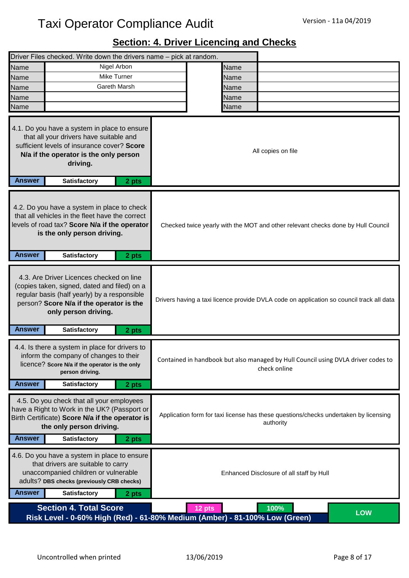## **Section: 4. Driver Licencing and Checks**

|               | Driver Files checked. Write down the drivers name - pick at random.                                                                                                                                                                 |       |                                                                                                   |              |            |
|---------------|-------------------------------------------------------------------------------------------------------------------------------------------------------------------------------------------------------------------------------------|-------|---------------------------------------------------------------------------------------------------|--------------|------------|
| Name          | Nigel Arbon                                                                                                                                                                                                                         |       | Name                                                                                              |              |            |
| Name          | Mike Turner                                                                                                                                                                                                                         |       | Name                                                                                              |              |            |
| Name          | <b>Gareth Marsh</b>                                                                                                                                                                                                                 |       | Name                                                                                              |              |            |
| Name          |                                                                                                                                                                                                                                     |       | Name                                                                                              |              |            |
| Name          |                                                                                                                                                                                                                                     |       | Name                                                                                              |              |            |
| <b>Answer</b> | 4.1. Do you have a system in place to ensure<br>that all your drivers have suitable and<br>sufficient levels of insurance cover? Score<br>N/a if the operator is the only person<br>driving.<br><b>Satisfactory</b>                 | 2 pts | All copies on file                                                                                |              |            |
| <b>Answer</b> | 4.2. Do you have a system in place to check<br>that all vehicles in the fleet have the correct<br>levels of road tax? Score N/a if the operator<br>is the only person driving.<br><b>Satisfactory</b>                               | 2 pts | Checked twice yearly with the MOT and other relevant checks done by Hull Council                  |              |            |
| <b>Answer</b> | 4.3. Are Driver Licences checked on line<br>(copies taken, signed, dated and filed) on a<br>regular basis (half yearly) by a responsible<br>person? Score N/a if the operator is the<br>only person driving.<br><b>Satisfactory</b> | 2 pts | Drivers having a taxi licence provide DVLA code on application so council track all data          |              |            |
| <b>Answer</b> | 4.4. Is there a system in place for drivers to<br>inform the company of changes to their<br>licence? Score N/a if the operator is the only<br>person driving.<br><b>Satisfactory</b>                                                | 2 pts | Contained in handbook but also managed by Hull Council using DVLA driver codes to                 | check online |            |
| <b>Answer</b> | 4.5. Do you check that all your employees<br>have a Right to Work in the UK? (Passport or<br>Birth Certificate) Score N/a if the operator is<br>the only person driving.<br><b>Satisfactory</b>                                     | 2 pts | Application form for taxi license has these questions/checks undertaken by licensing<br>authority |              |            |
| <b>Answer</b> | 4.6. Do you have a system in place to ensure<br>that drivers are suitable to carry<br>unaccompanied children or vulnerable<br>adults? DBS checks (previously CRB checks)<br><b>Satisfactory</b>                                     | 2 pts | Enhanced Disclosure of all staff by Hull                                                          |              |            |
|               | <b>Section 4. Total Score</b><br>Risk Level - 0-60% High (Red) - 61-80% Medium (Amber) - 81-100% Low (Green)                                                                                                                        |       | $12$ pts                                                                                          | 100%         | <b>LOW</b> |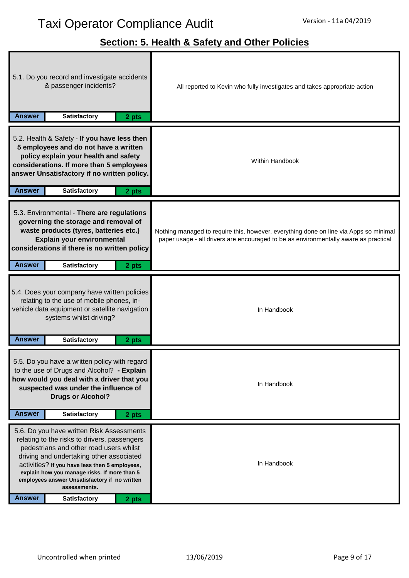ī

## **Section: 5. Health & Safety and Other Policies**

| Answer                                                                                                                                                                                                                                                                                                                                                                                      | 5.1. Do you record and investigate accidents<br>& passenger incidents?<br><b>Satisfactory</b>                                                                                                                                                    | 2 pts | All reported to Kevin who fully investigates and takes appropriate action                                                                                                     |  |  |
|---------------------------------------------------------------------------------------------------------------------------------------------------------------------------------------------------------------------------------------------------------------------------------------------------------------------------------------------------------------------------------------------|--------------------------------------------------------------------------------------------------------------------------------------------------------------------------------------------------------------------------------------------------|-------|-------------------------------------------------------------------------------------------------------------------------------------------------------------------------------|--|--|
| <b>Answer</b>                                                                                                                                                                                                                                                                                                                                                                               | 5.2. Health & Safety - If you have less then<br>5 employees and do not have a written<br>policy explain your health and safety<br>considerations. If more than 5 employees<br>answer Unsatisfactory if no written policy.<br><b>Satisfactory</b> | 2 pts | <b>Within Handbook</b>                                                                                                                                                        |  |  |
| <b>Answer</b>                                                                                                                                                                                                                                                                                                                                                                               | 5.3. Environmental - There are regulations<br>governing the storage and removal of<br>waste products (tyres, batteries etc.)<br>Explain your environmental<br>considerations if there is no written policy<br><b>Satisfactory</b>                | 2 pts | Nothing managed to require this, however, everything done on line via Apps so minimal<br>paper usage - all drivers are encouraged to be as environmentally aware as practical |  |  |
| <b>Answer</b>                                                                                                                                                                                                                                                                                                                                                                               | 5.4. Does your company have written policies<br>relating to the use of mobile phones, in-<br>vehicle data equipment or satellite navigation<br>systems whilst driving?<br><b>Satisfactory</b>                                                    | 2 pts | In Handbook                                                                                                                                                                   |  |  |
| 5.5. Do you have a written policy with regard<br>to the use of Drugs and Alcohol? - Explain<br>how would you deal with a driver that you<br>suspected was under the influence of<br><b>Drugs or Alcohol?</b><br><b>Answer</b><br><b>Satisfactory</b><br>2 pts                                                                                                                               |                                                                                                                                                                                                                                                  |       | In Handbook                                                                                                                                                                   |  |  |
| 5.6. Do you have written Risk Assessments<br>relating to the risks to drivers, passengers<br>pedestrians and other road users whilst<br>driving and undertaking other associated<br>activities? If you have less then 5 employees,<br>explain how you manage risks. If more than 5<br>employees answer Unsatisfactory if no written<br>assessments.<br><b>Answer</b><br><b>Satisfactory</b> |                                                                                                                                                                                                                                                  | 2 pts | In Handbook                                                                                                                                                                   |  |  |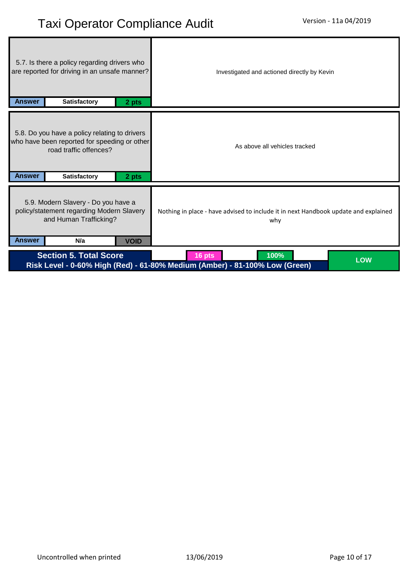| 5.7. Is there a policy regarding drivers who<br>are reported for driving in an unsafe manner?<br><b>Answer</b><br><b>Satisfactory</b><br>2 pts |                                                                                                                                         |             | Investigated and actioned directly by Kevin                                                                 |  |  |
|------------------------------------------------------------------------------------------------------------------------------------------------|-----------------------------------------------------------------------------------------------------------------------------------------|-------------|-------------------------------------------------------------------------------------------------------------|--|--|
| <b>Answer</b>                                                                                                                                  | 5.8. Do you have a policy relating to drivers<br>who have been reported for speeding or other<br>road traffic offences?<br>Satisfactory | 2 pts       | As above all vehicles tracked                                                                               |  |  |
| <b>Answer</b>                                                                                                                                  | 5.9. Modern Slavery - Do you have a<br>policy/statement regarding Modern Slavery<br>and Human Trafficking?<br>N/a                       | <b>VOID</b> | Nothing in place - have advised to include it in next Handbook update and explained<br>why                  |  |  |
|                                                                                                                                                | <b>Section 5. Total Score</b>                                                                                                           |             | 100%<br>16 pts<br><b>LOW</b><br>Risk Level - 0-60% High (Red) - 61-80% Medium (Amber) - 81-100% Low (Green) |  |  |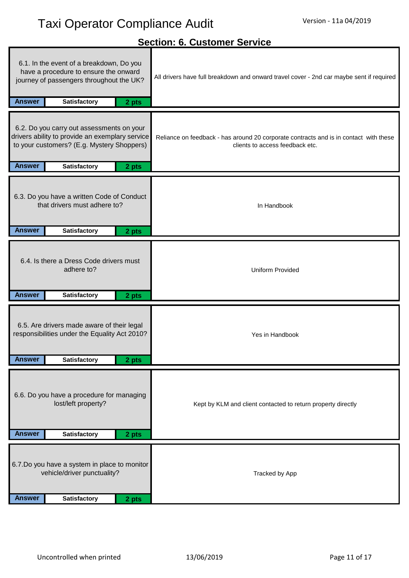## **Answer 2 pts Satisfactory Answer 2 pts Satisfactory Answer 2 pts Satisfactory Answer 2 pts Satisfactory Answer 2 pts Satisfactory Answer 2 pts Satisfactory** 6.1. In the event of a breakdown, Do you have a procedure to ensure the onward journey of passengers throughout the UK? 6.7.Do you have a system in place to monitor vehicle/driver punctuality? 6.6. Do you have a procedure for managing lost/left property? Kept by KLM and client contacted to return property directly Tracked by App Reliance on feedback - has around 20 corporate contracts and is in contact with these clients to access feedback etc. 6.3. Do you have a written Code of Conduct that drivers must adhere to? In Handbook Uniform Provided Yes in Handbook **Section: 6. Customer Service** 6.4. Is there a Dress Code drivers must adhere to? 6.5. Are drivers made aware of their legal responsibilities under the Equality Act 2010? 6.2. Do you carry out assessments on your drivers ability to provide an exemplary service to your customers? (E.g. Mystery Shoppers) All drivers have full breakdown and onward travel cover - 2nd car maybe sent if required

**Answer 2 pts Satisfactory**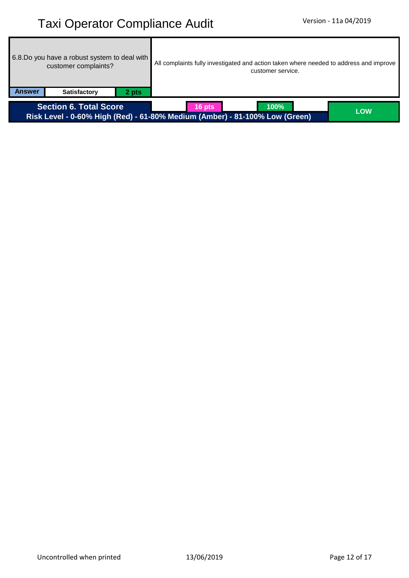| 6.8. Do you have a robust system to deal with<br>customer complaints? | All complaints fully investigated and action taken where needed to address and improve<br>customer service. |            |  |  |
|-----------------------------------------------------------------------|-------------------------------------------------------------------------------------------------------------|------------|--|--|
| Answer<br><b>Satisfactory</b><br>2 pts                                |                                                                                                             |            |  |  |
| <b>Section 6. Total Score</b>                                         | 100%<br>$16$ pts<br>Risk Level - 0-60% High (Red) - 61-80% Medium (Amber) - 81-100% Low (Green)             | <b>LOW</b> |  |  |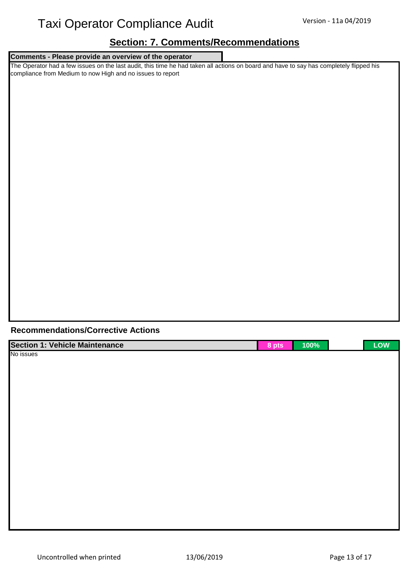### **Section: 7. Comments/Recommendations**

| <b>Section: 7. Comments/Recommendations</b><br>Comments - Please provide an overview of the operator |             |  |  |  |  |
|------------------------------------------------------------------------------------------------------|-------------|--|--|--|--|
|                                                                                                      |             |  |  |  |  |
|                                                                                                      |             |  |  |  |  |
|                                                                                                      |             |  |  |  |  |
|                                                                                                      |             |  |  |  |  |
|                                                                                                      |             |  |  |  |  |
|                                                                                                      |             |  |  |  |  |
|                                                                                                      |             |  |  |  |  |
| <b>Recommendations/Corrective Actions</b>                                                            |             |  |  |  |  |
| <b>Section 1: Vehicle Maintenance</b><br>$8$ pts                                                     | LOW<br>100% |  |  |  |  |
| No issues                                                                                            |             |  |  |  |  |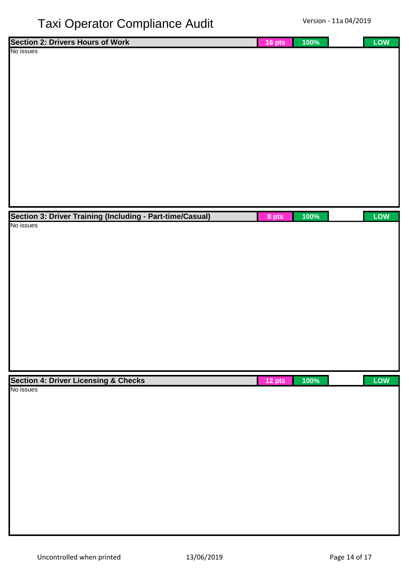| <b>Section 2: Drivers Hours of Work</b>                   | 16 pts | 100% | LOW |
|-----------------------------------------------------------|--------|------|-----|
| No issues                                                 |        |      |     |
|                                                           |        |      |     |
|                                                           |        |      |     |
|                                                           |        |      |     |
|                                                           |        |      |     |
|                                                           |        |      |     |
|                                                           |        |      |     |
|                                                           |        |      |     |
|                                                           |        |      |     |
|                                                           |        |      |     |
|                                                           |        |      |     |
|                                                           |        |      |     |
|                                                           |        |      |     |
|                                                           |        |      |     |
|                                                           |        |      |     |
|                                                           |        |      |     |
| Section 3: Driver Training (Including - Part-time/Casual) | 8 pts  | 100% | LOW |
| No issues                                                 |        |      |     |
|                                                           |        |      |     |
|                                                           |        |      |     |
|                                                           |        |      |     |
|                                                           |        |      |     |
|                                                           |        |      |     |
|                                                           |        |      |     |
|                                                           |        |      |     |
|                                                           |        |      |     |
|                                                           |        |      |     |
|                                                           |        |      |     |
|                                                           |        |      |     |
|                                                           |        |      |     |
|                                                           |        |      |     |
|                                                           |        |      |     |
|                                                           |        |      |     |
| <b>Section 4: Driver Licensing &amp; Checks</b>           | 12 pts | 100% | LOW |
| No issues                                                 |        |      |     |
|                                                           |        |      |     |
|                                                           |        |      |     |
|                                                           |        |      |     |
|                                                           |        |      |     |
|                                                           |        |      |     |
|                                                           |        |      |     |
|                                                           |        |      |     |
|                                                           |        |      |     |
|                                                           |        |      |     |
|                                                           |        |      |     |
|                                                           |        |      |     |
|                                                           |        |      |     |
|                                                           |        |      |     |
|                                                           |        |      |     |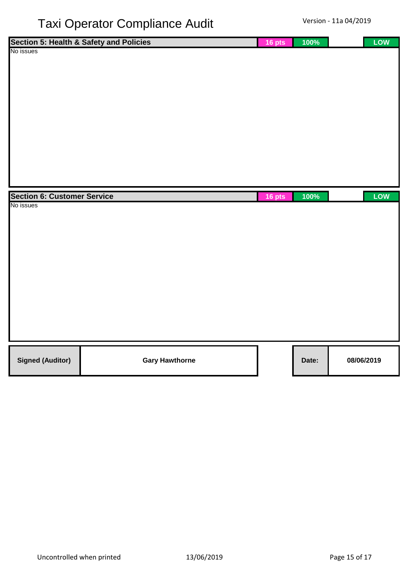|                                    | Section 5: Health & Safety and Policies | 16 pts | 100%  | LOW        |
|------------------------------------|-----------------------------------------|--------|-------|------------|
| No issues                          |                                         |        |       |            |
|                                    |                                         |        |       |            |
|                                    |                                         |        |       |            |
|                                    |                                         |        |       |            |
|                                    |                                         |        |       |            |
|                                    |                                         |        |       |            |
|                                    |                                         |        |       |            |
|                                    |                                         |        |       |            |
|                                    |                                         |        |       |            |
|                                    |                                         |        |       |            |
|                                    |                                         |        |       |            |
|                                    |                                         |        |       |            |
|                                    |                                         |        |       |            |
|                                    |                                         |        |       |            |
|                                    |                                         |        |       |            |
| <b>Section 6: Customer Service</b> |                                         | 16 pts | 100%  | LOW        |
| No issues                          |                                         |        |       |            |
|                                    |                                         |        |       |            |
|                                    |                                         |        |       |            |
|                                    |                                         |        |       |            |
|                                    |                                         |        |       |            |
|                                    |                                         |        |       |            |
|                                    |                                         |        |       |            |
|                                    |                                         |        |       |            |
|                                    |                                         |        |       |            |
|                                    |                                         |        |       |            |
|                                    |                                         |        |       |            |
|                                    |                                         |        |       |            |
|                                    |                                         |        |       |            |
|                                    |                                         |        |       |            |
|                                    |                                         |        |       |            |
| <b>Signed (Auditor)</b>            | <b>Gary Hawthorne</b>                   |        | Date: | 08/06/2019 |
|                                    |                                         |        |       |            |
|                                    |                                         |        |       |            |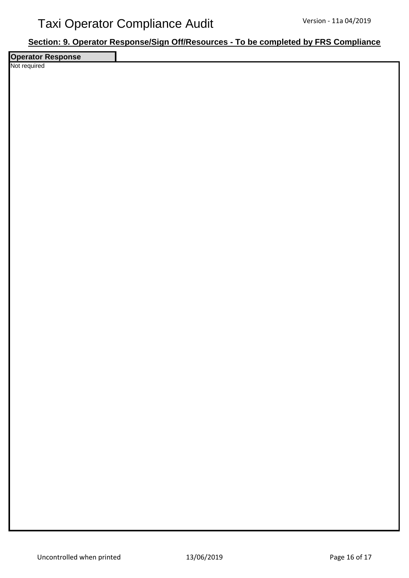#### **Section: 9. Operator Response/Sign Off/Resources - To be completed by FRS Compliance**

**Operator Response** Not required